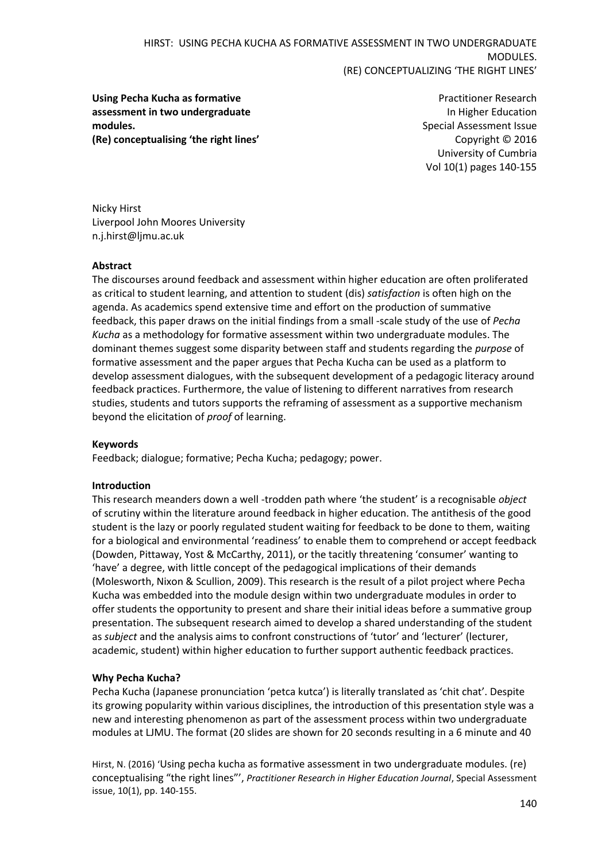**Using Pecha Kucha as formative assessment in two undergraduate modules. (Re) conceptualising 'the right lines'**

Practitioner Research In Higher Education Special Assessment Issue Copyright © 2016 University of Cumbria Vol 10(1) pages 140-155

Nicky Hirst Liverpool John Moores University [n.j.hirst@ljmu.ac.uk](mailto:n.j.hirst@ljmu.ac.uk)

# **Abstract**

The discourses around feedback and assessment within higher education are often proliferated as critical to student learning, and attention to student (dis) *satisfaction* is often high on the agenda. As academics spend extensive time and effort on the production of summative feedback, this paper draws on the initial findings from a small -scale study of the use of *Pecha Kucha* as a methodology for formative assessment within two undergraduate modules. The dominant themes suggest some disparity between staff and students regarding the *purpose* of formative assessment and the paper argues that Pecha Kucha can be used as a platform to develop assessment dialogues, with the subsequent development of a pedagogic literacy around feedback practices. Furthermore, the value of listening to different narratives from research studies, students and tutors supports the reframing of assessment as a supportive mechanism beyond the elicitation of *proof* of learning.

#### **Keywords**

Feedback; dialogue; formative; Pecha Kucha; pedagogy; power.

#### **Introduction**

This research meanders down a well -trodden path where 'the student' is a recognisable *object*  of scrutiny within the literature around feedback in higher education. The antithesis of the good student is the lazy or poorly regulated student waiting for feedback to be done to them, waiting for a biological and environmental 'readiness' to enable them to comprehend or accept feedback (Dowden, Pittaway, Yost & McCarthy, 2011), or the tacitly threatening 'consumer' wanting to 'have' a degree, with little concept of the pedagogical implications of their demands (Molesworth, Nixon & Scullion, 2009). This research is the result of a pilot project where Pecha Kucha was embedded into the module design within two undergraduate modules in order to offer students the opportunity to present and share their initial ideas before a summative group presentation. The subsequent research aimed to develop a shared understanding of the student as *subject* and the analysis aims to confront constructions of 'tutor' and 'lecturer' (lecturer, academic, student) within higher education to further support authentic feedback practices.

# **Why Pecha Kucha?**

Pecha Kucha (Japanese pronunciation 'petca kutca') is literally translated as 'chit chat'. Despite its growing popularity within various disciplines, the introduction of this presentation style was a new and interesting phenomenon as part of the assessment process within two undergraduate modules at LJMU. The format (20 slides are shown for 20 seconds resulting in a 6 minute and 40

Hirst, N. (2016) 'Using pecha kucha as formative assessment in two undergraduate modules. (re) conceptualising "the right lines"', *Practitioner Research in Higher Education Journal*, Special Assessment issue, 10(1), pp. 140-155.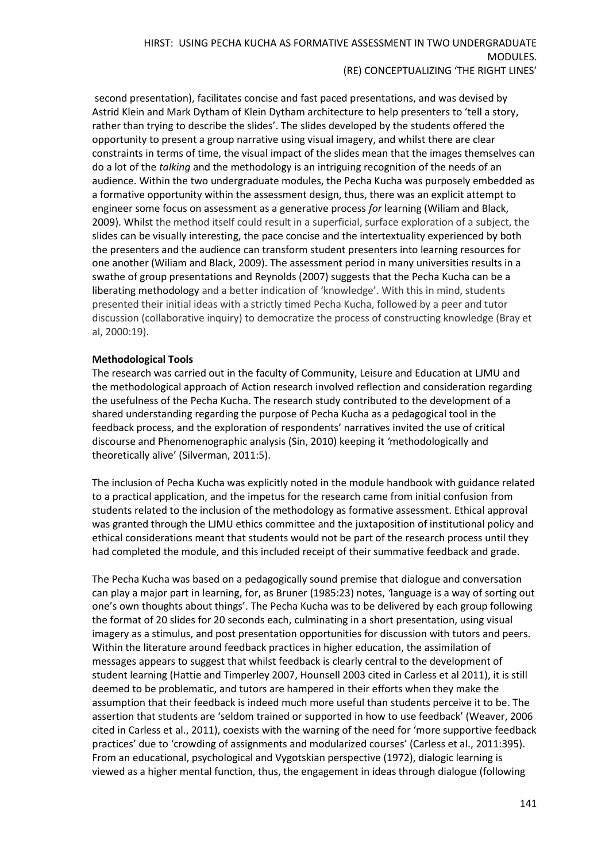second presentation), facilitates concise and fast paced presentations, and was devised by Astrid Klein and Mark Dytham of Klein Dytham architecture to help presenters to 'tell a story, rather than trying to describe the slides'. The slides developed by the students offered the opportunity to present a group narrative using visual imagery, and whilst there are clear constraints in terms of time, the visual impact of the slides mean that the images themselves can do a lot of the *talking* and the methodology is an intriguing recognition of the needs of an audience. Within the two undergraduate modules, the Pecha Kucha was purposely embedded as a formative opportunity within the assessment design, thus, there was an explicit attempt to engineer some focus on assessment as a generative process *for* learning (Wiliam and Black, 2009). Whilst the method itself could result in a superficial, surface exploration of a subject, the slides can be visually interesting, the pace concise and the intertextuality experienced by both the presenters and the audience can transform student presenters into learning resources for one another (Wiliam and Black, 2009). The assessment period in many universities results in a swathe of group presentations and Reynolds (2007) suggests that the Pecha Kucha can be a liberating methodology and a better indication of 'knowledge'. With this in mind, students presented their initial ideas with a strictly timed Pecha Kucha, followed by a peer and tutor discussion (collaborative inquiry) to democratize the process of constructing knowledge (Bray et al, 2000:19).

#### **Methodological Tools**

The research was carried out in the faculty of Community, Leisure and Education at LJMU and the methodological approach of Action research involved reflection and consideration regarding the usefulness of the Pecha Kucha. The research study contributed to the development of a shared understanding regarding the purpose of Pecha Kucha as a pedagogical tool in the feedback process, and the exploration of respondents' narratives invited the use of critical discourse and Phenomenographic analysis (Sin, 2010) keeping it *'*methodologically and theoretically alive' (Silverman, 2011:5).

The inclusion of Pecha Kucha was explicitly noted in the module handbook with guidance related to a practical application, and the impetus for the research came from initial confusion from students related to the inclusion of the methodology as formative assessment. Ethical approval was granted through the LJMU ethics committee and the juxtaposition of institutional policy and ethical considerations meant that students would not be part of the research process until they had completed the module, and this included receipt of their summative feedback and grade.

The Pecha Kucha was based on a pedagogically sound premise that dialogue and conversation can play a major part in learning, for, as Bruner (1985:23) notes, *'*language is a way of sorting out one's own thoughts about things'. The Pecha Kucha was to be delivered by each group following the format of 20 slides for 20 seconds each, culminating in a short presentation, using visual imagery as a stimulus, and post presentation opportunities for discussion with tutors and peers. Within the literature around feedback practices in higher education, the assimilation of messages appears to suggest that whilst feedback is clearly central to the development of student learning (Hattie and Timperley 2007, Hounsell 2003 cited in Carless et al 2011), it is still deemed to be problematic, and tutors are hampered in their efforts when they make the assumption that their feedback is indeed much more useful than students perceive it to be. The assertion that students are 'seldom trained or supported in how to use feedback' (Weaver, 2006 cited in Carless et al., 2011), coexists with the warning of the need for 'more supportive feedback practices' due to 'crowding of assignments and modularized courses' (Carless et al., 2011:395). From an educational, psychological and Vygotskian perspective (1972), dialogic learning is viewed as a higher mental function, thus, the engagement in ideas through dialogue (following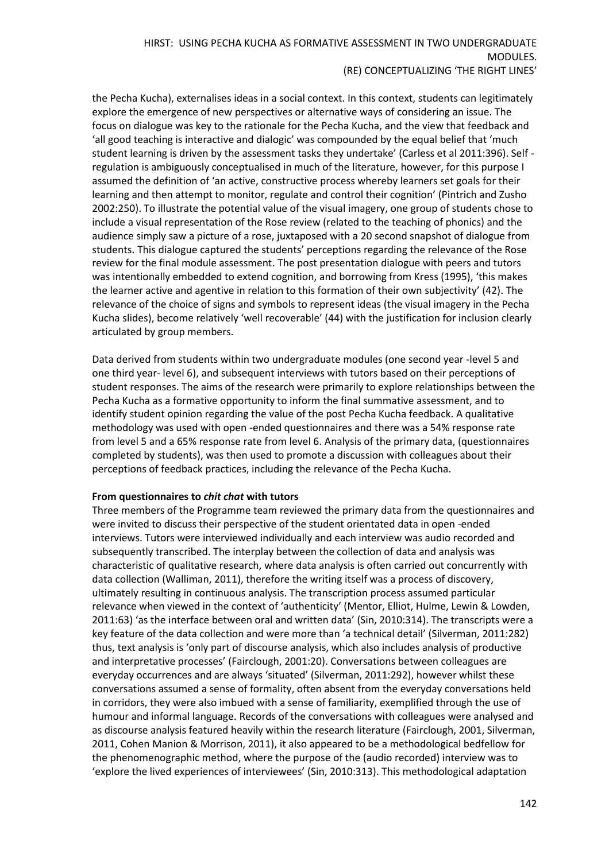the Pecha Kucha), externalises ideas in a social context. In this context, students can legitimately explore the emergence of new perspectives or alternative ways of considering an issue. The focus on dialogue was key to the rationale for the Pecha Kucha, and the view that feedback and 'all good teaching is interactive and dialogic' was compounded by the equal belief that 'much student learning is driven by the assessment tasks they undertake' (Carless et al 2011:396). Self regulation is ambiguously conceptualised in much of the literature, however, for this purpose I assumed the definition of 'an active, constructive process whereby learners set goals for their learning and then attempt to monitor, regulate and control their cognition' (Pintrich and Zusho 2002:250). To illustrate the potential value of the visual imagery, one group of students chose to include a visual representation of the Rose review (related to the teaching of phonics) and the audience simply saw a picture of a rose, juxtaposed with a 20 second snapshot of dialogue from students. This dialogue captured the students' perceptions regarding the relevance of the Rose review for the final module assessment. The post presentation dialogue with peers and tutors was intentionally embedded to extend cognition, and borrowing from Kress (1995), 'this makes the learner active and agentive in relation to this formation of their own subjectivity' (42). The relevance of the choice of signs and symbols to represent ideas (the visual imagery in the Pecha Kucha slides), become relatively 'well recoverable' (44) with the justification for inclusion clearly articulated by group members.

Data derived from students within two undergraduate modules (one second year -level 5 and one third year- level 6), and subsequent interviews with tutors based on their perceptions of student responses. The aims of the research were primarily to explore relationships between the Pecha Kucha as a formative opportunity to inform the final summative assessment, and to identify student opinion regarding the value of the post Pecha Kucha feedback. A qualitative methodology was used with open -ended questionnaires and there was a 54% response rate from level 5 and a 65% response rate from level 6. Analysis of the primary data, (questionnaires completed by students), was then used to promote a discussion with colleagues about their perceptions of feedback practices, including the relevance of the Pecha Kucha.

#### **From questionnaires to** *chit chat* **with tutors**

Three members of the Programme team reviewed the primary data from the questionnaires and were invited to discuss their perspective of the student orientated data in open -ended interviews. Tutors were interviewed individually and each interview was audio recorded and subsequently transcribed. The interplay between the collection of data and analysis was characteristic of qualitative research, where data analysis is often carried out concurrently with data collection (Walliman, 2011), therefore the writing itself was a process of discovery, ultimately resulting in continuous analysis. The transcription process assumed particular relevance when viewed in the context of 'authenticity' (Mentor, Elliot, Hulme, Lewin & Lowden, 2011:63) 'as the interface between oral and written data' (Sin, 2010:314). The transcripts were a key feature of the data collection and were more than 'a technical detail' (Silverman, 2011:282) thus, text analysis is 'only part of discourse analysis, which also includes analysis of productive and interpretative processes' (Fairclough, 2001:20). Conversations between colleagues are everyday occurrences and are always 'situated' (Silverman, 2011:292), however whilst these conversations assumed a sense of formality, often absent from the everyday conversations held in corridors, they were also imbued with a sense of familiarity, exemplified through the use of humour and informal language. Records of the conversations with colleagues were analysed and as discourse analysis featured heavily within the research literature (Fairclough, 2001, Silverman, 2011, Cohen Manion & Morrison, 2011), it also appeared to be a methodological bedfellow for the phenomenographic method, where the purpose of the (audio recorded) interview was to 'explore the lived experiences of interviewees' (Sin, 2010:313). This methodological adaptation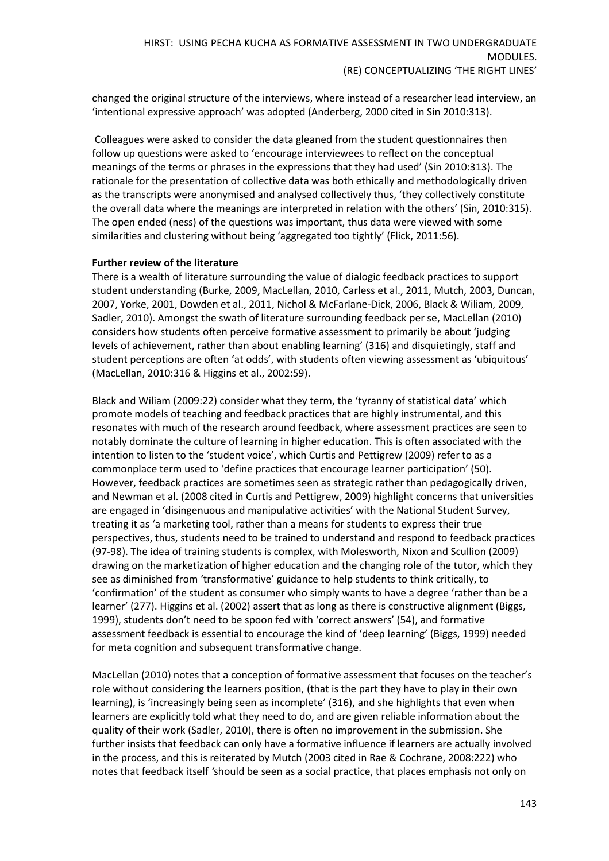changed the original structure of the interviews, where instead of a researcher lead interview, an 'intentional expressive approach' was adopted (Anderberg, 2000 cited in Sin 2010:313).

Colleagues were asked to consider the data gleaned from the student questionnaires then follow up questions were asked to 'encourage interviewees to reflect on the conceptual meanings of the terms or phrases in the expressions that they had used' (Sin 2010:313). The rationale for the presentation of collective data was both ethically and methodologically driven as the transcripts were anonymised and analysed collectively thus, 'they collectively constitute the overall data where the meanings are interpreted in relation with the others' (Sin, 2010:315). The open ended (ness) of the questions was important, thus data were viewed with some similarities and clustering without being 'aggregated too tightly' (Flick, 2011:56).

# **Further review of the literature**

There is a wealth of literature surrounding the value of dialogic feedback practices to support student understanding (Burke, 2009, MacLellan, 2010, Carless et al., 2011, Mutch, 2003, Duncan, 2007, Yorke, 2001, Dowden et al., 2011, Nichol & McFarlane-Dick, 2006, Black & Wiliam, 2009, Sadler, 2010). Amongst the swath of literature surrounding feedback per se, MacLellan (2010) considers how students often perceive formative assessment to primarily be about 'judging levels of achievement, rather than about enabling learning' (316) and disquietingly, staff and student perceptions are often 'at odds', with students often viewing assessment as 'ubiquitous' (MacLellan, 2010:316 & Higgins et al., 2002:59).

Black and Wiliam (2009:22) consider what they term, the 'tyranny of statistical data' which promote models of teaching and feedback practices that are highly instrumental, and this resonates with much of the research around feedback, where assessment practices are seen to notably dominate the culture of learning in higher education. This is often associated with the intention to listen to the 'student voice', which Curtis and Pettigrew (2009) refer to as a commonplace term used to 'define practices that encourage learner participation' (50). However, feedback practices are sometimes seen as strategic rather than pedagogically driven, and Newman et al. (2008 cited in Curtis and Pettigrew, 2009) highlight concerns that universities are engaged in 'disingenuous and manipulative activities' with the National Student Survey, treating it as 'a marketing tool, rather than a means for students to express their true perspectives, thus, students need to be trained to understand and respond to feedback practices (97-98). The idea of training students is complex, with Molesworth, Nixon and Scullion (2009) drawing on the marketization of higher education and the changing role of the tutor, which they see as diminished from 'transformative' guidance to help students to think critically, to 'confirmation' of the student as consumer who simply wants to have a degree 'rather than be a learner' (277). Higgins et al. (2002) assert that as long as there is constructive alignment (Biggs, 1999), students don't need to be spoon fed with 'correct answers' (54), and formative assessment feedback is essential to encourage the kind of 'deep learning' (Biggs, 1999) needed for meta cognition and subsequent transformative change.

MacLellan (2010) notes that a conception of formative assessment that focuses on the teacher's role without considering the learners position, (that is the part they have to play in their own learning), is 'increasingly being seen as incomplete' (316), and she highlights that even when learners are explicitly told what they need to do, and are given reliable information about the quality of their work (Sadler, 2010), there is often no improvement in the submission. She further insists that feedback can only have a formative influence if learners are actually involved in the process, and this is reiterated by Mutch (2003 cited in Rae & Cochrane, 2008:222) who notes that feedback itself *'*should be seen as a social practice, that places emphasis not only on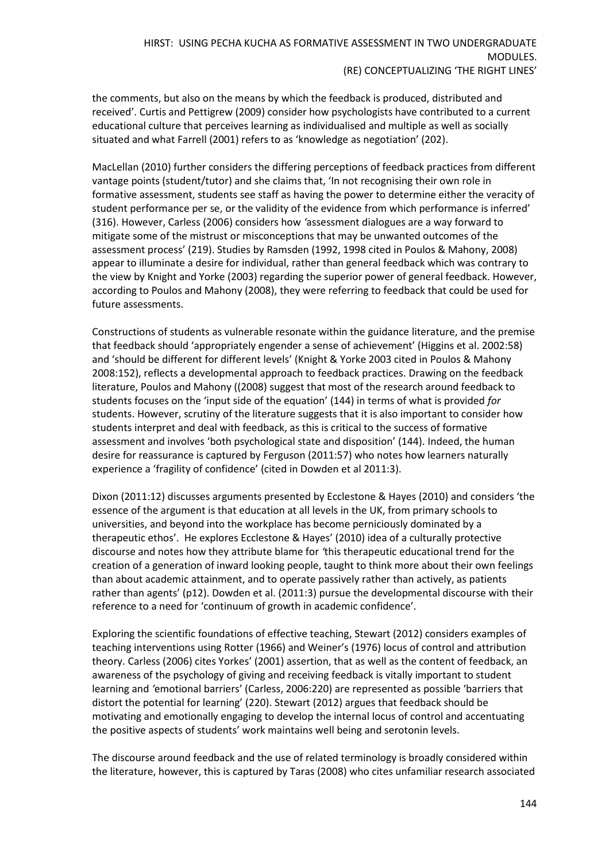the comments, but also on the means by which the feedback is produced, distributed and received'. Curtis and Pettigrew (2009) consider how psychologists have contributed to a current educational culture that perceives learning as individualised and multiple as well as socially situated and what Farrell (2001) refers to as 'knowledge as negotiation' (202).

MacLellan (2010) further considers the differing perceptions of feedback practices from different vantage points (student/tutor) and she claims that, 'In not recognising their own role in formative assessment, students see staff as having the power to determine either the veracity of student performance per se, or the validity of the evidence from which performance is inferred' (316). However, Carless (2006) considers how *'*assessment dialogues are a way forward to mitigate some of the mistrust or misconceptions that may be unwanted outcomes of the assessment process' (219). Studies by Ramsden (1992, 1998 cited in Poulos & Mahony, 2008) appear to illuminate a desire for individual, rather than general feedback which was contrary to the view by Knight and Yorke (2003) regarding the superior power of general feedback. However, according to Poulos and Mahony (2008), they were referring to feedback that could be used for future assessments.

Constructions of students as vulnerable resonate within the guidance literature, and the premise that feedback should 'appropriately engender a sense of achievement' (Higgins et al. 2002:58) and 'should be different for different levels' (Knight & Yorke 2003 cited in Poulos & Mahony 2008:152), reflects a developmental approach to feedback practices. Drawing on the feedback literature, Poulos and Mahony ((2008) suggest that most of the research around feedback to students focuses on the 'input side of the equation' (144) in terms of what is provided *for* students. However, scrutiny of the literature suggests that it is also important to consider how students interpret and deal with feedback, as this is critical to the success of formative assessment and involves 'both psychological state and disposition' (144). Indeed, the human desire for reassurance is captured by Ferguson (2011:57) who notes how learners naturally experience a 'fragility of confidence' (cited in Dowden et al 2011:3).

Dixon (2011:12) discusses arguments presented by Ecclestone & Hayes (2010) and considers 'the essence of the argument is that education at all levels in the UK, from primary schools to universities, and beyond into the workplace has become perniciously dominated by a therapeutic ethos'. He explores Ecclestone & Hayes' (2010) idea of a culturally protective discourse and notes how they attribute blame for *'*this therapeutic educational trend for the creation of a generation of inward looking people, taught to think more about their own feelings than about academic attainment, and to operate passively rather than actively, as patients rather than agents' (p12). Dowden et al. (2011:3) pursue the developmental discourse with their reference to a need for 'continuum of growth in academic confidence'.

Exploring the scientific foundations of effective teaching, Stewart (2012) considers examples of teaching interventions using Rotter (1966) and Weiner's (1976) locus of control and attribution theory. Carless (2006) cites Yorkes' (2001) assertion, that as well as the content of feedback, an awareness of the psychology of giving and receiving feedback is vitally important to student learning and *'*emotional barriers' (Carless, 2006:220) are represented as possible 'barriers that distort the potential for learning' (220). Stewart (2012) argues that feedback should be motivating and emotionally engaging to develop the internal locus of control and accentuating the positive aspects of students' work maintains well being and serotonin levels.

The discourse around feedback and the use of related terminology is broadly considered within the literature, however, this is captured by Taras (2008) who cites unfamiliar research associated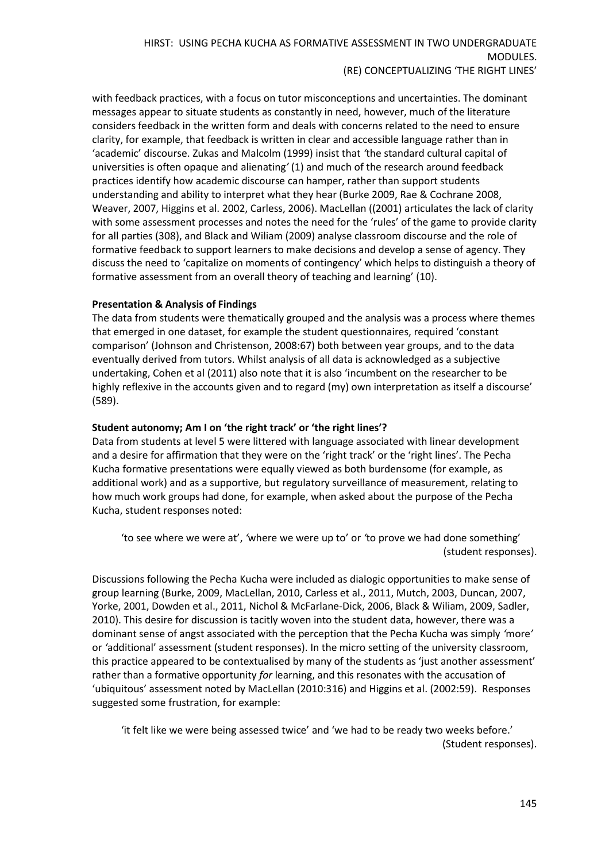with feedback practices, with a focus on tutor misconceptions and uncertainties. The dominant messages appear to situate students as constantly in need, however, much of the literature considers feedback in the written form and deals with concerns related to the need to ensure clarity, for example, that feedback is written in clear and accessible language rather than in 'academic' discourse. Zukas and Malcolm (1999) insist that *'*the standard cultural capital of universities is often opaque and alienating*'* (1) and much of the research around feedback practices identify how academic discourse can hamper, rather than support students understanding and ability to interpret what they hear (Burke 2009, Rae & Cochrane 2008, Weaver, 2007, Higgins et al. 2002, Carless, 2006). MacLellan ((2001) articulates the lack of clarity with some assessment processes and notes the need for the 'rules' of the game to provide clarity for all parties (308), and Black and Wiliam (2009) analyse classroom discourse and the role of formative feedback to support learners to make decisions and develop a sense of agency. They discuss the need to 'capitalize on moments of contingency' which helps to distinguish a theory of formative assessment from an overall theory of teaching and learning' (10).

# **Presentation & Analysis of Findings**

The data from students were thematically grouped and the analysis was a process where themes that emerged in one dataset, for example the student questionnaires, required 'constant comparison' (Johnson and Christenson, 2008:67) both between year groups, and to the data eventually derived from tutors. Whilst analysis of all data is acknowledged as a subjective undertaking, Cohen et al (2011) also note that it is also 'incumbent on the researcher to be highly reflexive in the accounts given and to regard (my) own interpretation as itself a discourse' (589).

#### **Student autonomy; Am I on 'the right track' or 'the right lines'?**

Data from students at level 5 were littered with language associated with linear development and a desire for affirmation that they were on the 'right track' or the 'right lines'. The Pecha Kucha formative presentations were equally viewed as both burdensome (for example, as additional work) and as a supportive, but regulatory surveillance of measurement, relating to how much work groups had done, for example, when asked about the purpose of the Pecha Kucha, student responses noted:

'to see where we were at', *'*where we were up to' or *'*to prove we had done something' (student responses).

Discussions following the Pecha Kucha were included as dialogic opportunities to make sense of group learning (Burke, 2009, MacLellan, 2010, Carless et al., 2011, Mutch, 2003, Duncan, 2007, Yorke, 2001, Dowden et al., 2011, Nichol & McFarlane-Dick, 2006, Black & Wiliam, 2009, Sadler, 2010). This desire for discussion is tacitly woven into the student data, however, there was a dominant sense of angst associated with the perception that the Pecha Kucha was simply *'*more*'* or *'*additional' assessment (student responses). In the micro setting of the university classroom, this practice appeared to be contextualised by many of the students as 'just another assessment' rather than a formative opportunity *for* learning, and this resonates with the accusation of 'ubiquitous' assessment noted by MacLellan (2010:316) and Higgins et al. (2002:59). Responses suggested some frustration, for example:

'it felt like we were being assessed twice' and 'we had to be ready two weeks before.' (Student responses).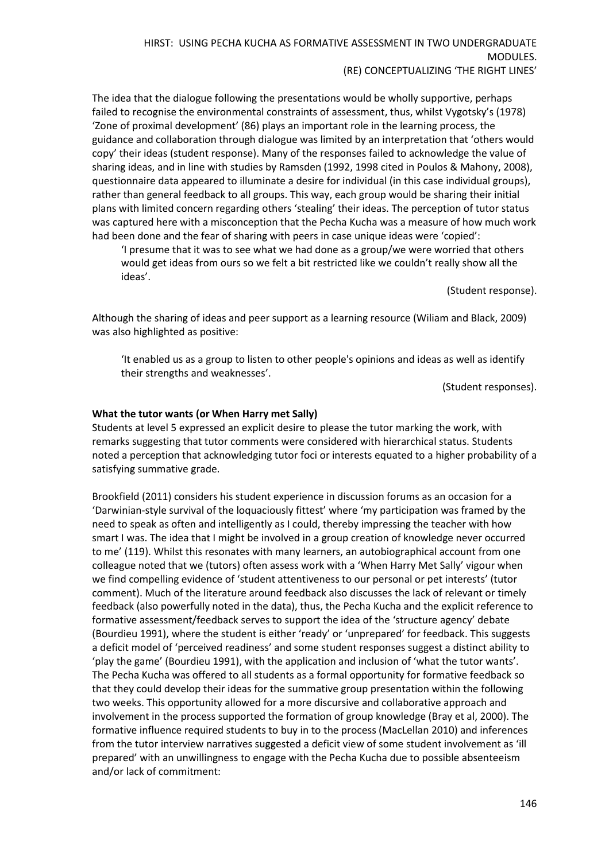The idea that the dialogue following the presentations would be wholly supportive, perhaps failed to recognise the environmental constraints of assessment, thus, whilst Vygotsky's (1978) 'Zone of proximal development' (86) plays an important role in the learning process, the guidance and collaboration through dialogue was limited by an interpretation that 'others would copy' their ideas (student response). Many of the responses failed to acknowledge the value of sharing ideas, and in line with studies by Ramsden (1992, 1998 cited in Poulos & Mahony, 2008), questionnaire data appeared to illuminate a desire for individual (in this case individual groups), rather than general feedback to all groups. This way, each group would be sharing their initial plans with limited concern regarding others 'stealing' their ideas. The perception of tutor status was captured here with a misconception that the Pecha Kucha was a measure of how much work had been done and the fear of sharing with peers in case unique ideas were 'copied':

'I presume that it was to see what we had done as a group/we were worried that others would get ideas from ours so we felt a bit restricted like we couldn't really show all the ideas'.

(Student response).

Although the sharing of ideas and peer support as a learning resource (Wiliam and Black, 2009) was also highlighted as positive:

'It enabled us as a group to listen to other people's opinions and ideas as well as identify their strengths and weaknesses'.

(Student responses).

#### **What the tutor wants (or When Harry met Sally)**

Students at level 5 expressed an explicit desire to please the tutor marking the work, with remarks suggesting that tutor comments were considered with hierarchical status. Students noted a perception that acknowledging tutor foci or interests equated to a higher probability of a satisfying summative grade.

Brookfield (2011) considers his student experience in discussion forums as an occasion for a 'Darwinian-style survival of the loquaciously fittest' where 'my participation was framed by the need to speak as often and intelligently as I could, thereby impressing the teacher with how smart I was. The idea that I might be involved in a group creation of knowledge never occurred to me' (119). Whilst this resonates with many learners, an autobiographical account from one colleague noted that we (tutors) often assess work with a 'When Harry Met Sally' vigour when we find compelling evidence of 'student attentiveness to our personal or pet interests' (tutor comment). Much of the literature around feedback also discusses the lack of relevant or timely feedback (also powerfully noted in the data), thus, the Pecha Kucha and the explicit reference to formative assessment/feedback serves to support the idea of the 'structure agency' debate (Bourdieu 1991), where the student is either 'ready' or 'unprepared' for feedback. This suggests a deficit model of 'perceived readiness' and some student responses suggest a distinct ability to 'play the game' (Bourdieu 1991), with the application and inclusion of 'what the tutor wants'. The Pecha Kucha was offered to all students as a formal opportunity for formative feedback so that they could develop their ideas for the summative group presentation within the following two weeks. This opportunity allowed for a more discursive and collaborative approach and involvement in the process supported the formation of group knowledge (Bray et al, 2000). The formative influence required students to buy in to the process (MacLellan 2010) and inferences from the tutor interview narratives suggested a deficit view of some student involvement as 'ill prepared' with an unwillingness to engage with the Pecha Kucha due to possible absenteeism and/or lack of commitment: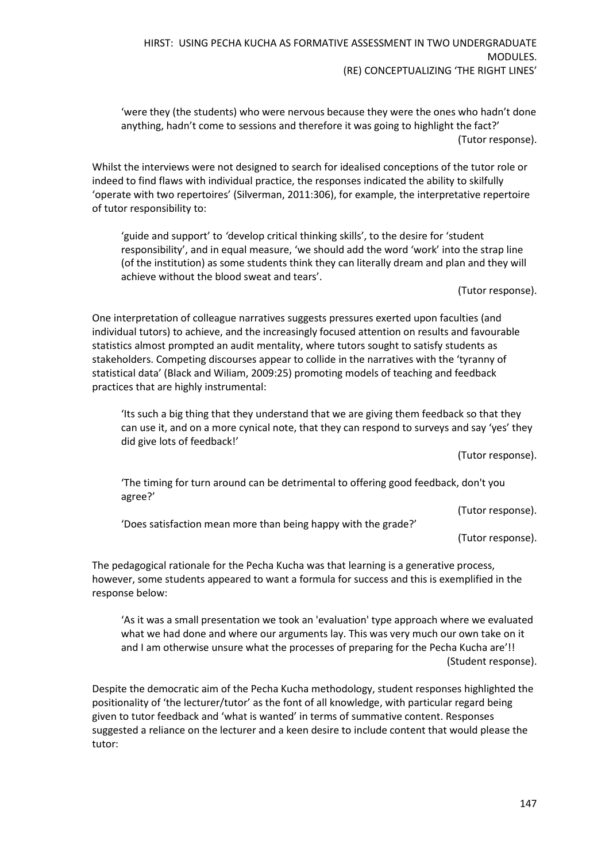'were they (the students) who were nervous because they were the ones who hadn't done anything, hadn't come to sessions and therefore it was going to highlight the fact?' (Tutor response).

Whilst the interviews were not designed to search for idealised conceptions of the tutor role or indeed to find flaws with individual practice, the responses indicated the ability to skilfully 'operate with two repertoires' (Silverman, 2011:306), for example, the interpretative repertoire of tutor responsibility to:

'guide and support' to *'*develop critical thinking skills', to the desire for 'student responsibility', and in equal measure, 'we should add the word 'work' into the strap line (of the institution) as some students think they can literally dream and plan and they will achieve without the blood sweat and tears'.

(Tutor response).

One interpretation of colleague narratives suggests pressures exerted upon faculties (and individual tutors) to achieve, and the increasingly focused attention on results and favourable statistics almost prompted an audit mentality, where tutors sought to satisfy students as stakeholders. Competing discourses appear to collide in the narratives with the 'tyranny of statistical data' (Black and Wiliam, 2009:25) promoting models of teaching and feedback practices that are highly instrumental:

'Its such a big thing that they understand that we are giving them feedback so that they can use it, and on a more cynical note, that they can respond to surveys and say 'yes' they did give lots of feedback!'

(Tutor response).

'The timing for turn around can be detrimental to offering good feedback, don't you agree?'

(Tutor response).

'Does satisfaction mean more than being happy with the grade?'

(Tutor response).

The pedagogical rationale for the Pecha Kucha was that learning is a generative process, however, some students appeared to want a formula for success and this is exemplified in the response below:

'As it was a small presentation we took an 'evaluation' type approach where we evaluated what we had done and where our arguments lay. This was very much our own take on it and I am otherwise unsure what the processes of preparing for the Pecha Kucha are'!! (Student response).

Despite the democratic aim of the Pecha Kucha methodology, student responses highlighted the positionality of 'the lecturer/tutor' as the font of all knowledge, with particular regard being given to tutor feedback and 'what is wanted' in terms of summative content. Responses suggested a reliance on the lecturer and a keen desire to include content that would please the tutor: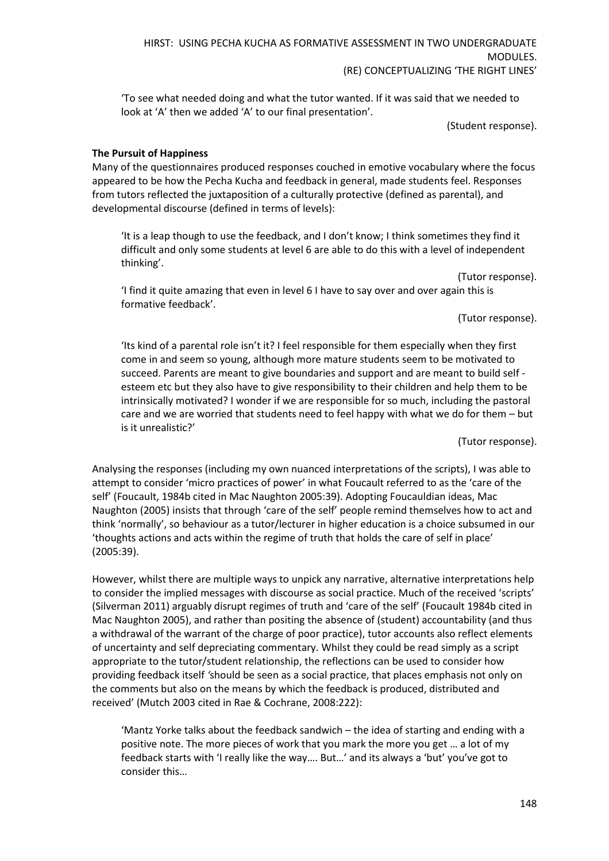'To see what needed doing and what the tutor wanted. If it was said that we needed to look at 'A' then we added 'A' to our final presentation'.

(Student response).

#### **The Pursuit of Happiness**

Many of the questionnaires produced responses couched in emotive vocabulary where the focus appeared to be how the Pecha Kucha and feedback in general, made students feel. Responses from tutors reflected the juxtaposition of a culturally protective (defined as parental), and developmental discourse (defined in terms of levels):

'It is a leap though to use the feedback, and I don't know; I think sometimes they find it difficult and only some students at level 6 are able to do this with a level of independent thinking'.

'I find it quite amazing that even in level 6 I have to say over and over again this is formative feedback'.

(Tutor response).

(Tutor response).

'Its kind of a parental role isn't it? I feel responsible for them especially when they first come in and seem so young, although more mature students seem to be motivated to succeed. Parents are meant to give boundaries and support and are meant to build self esteem etc but they also have to give responsibility to their children and help them to be intrinsically motivated? I wonder if we are responsible for so much, including the pastoral care and we are worried that students need to feel happy with what we do for them – but is it unrealistic?'

(Tutor response).

Analysing the responses (including my own nuanced interpretations of the scripts), I was able to attempt to consider 'micro practices of power' in what Foucault referred to as the 'care of the self' (Foucault, 1984b cited in Mac Naughton 2005:39). Adopting Foucauldian ideas, Mac Naughton (2005) insists that through 'care of the self' people remind themselves how to act and think 'normally', so behaviour as a tutor/lecturer in higher education is a choice subsumed in our 'thoughts actions and acts within the regime of truth that holds the care of self in place' (2005:39).

However, whilst there are multiple ways to unpick any narrative, alternative interpretations help to consider the implied messages with discourse as social practice. Much of the received 'scripts' (Silverman 2011) arguably disrupt regimes of truth and 'care of the self' (Foucault 1984b cited in Mac Naughton 2005), and rather than positing the absence of (student) accountability (and thus a withdrawal of the warrant of the charge of poor practice), tutor accounts also reflect elements of uncertainty and self depreciating commentary. Whilst they could be read simply as a script appropriate to the tutor/student relationship, the reflections can be used to consider how providing feedback itself *'*should be seen as a social practice, that places emphasis not only on the comments but also on the means by which the feedback is produced, distributed and received' (Mutch 2003 cited in Rae & Cochrane, 2008:222):

'Mantz Yorke talks about the feedback sandwich – the idea of starting and ending with a positive note. The more pieces of work that you mark the more you get … a lot of my feedback starts with 'I really like the way…. But…' and its always a 'but' you've got to consider this…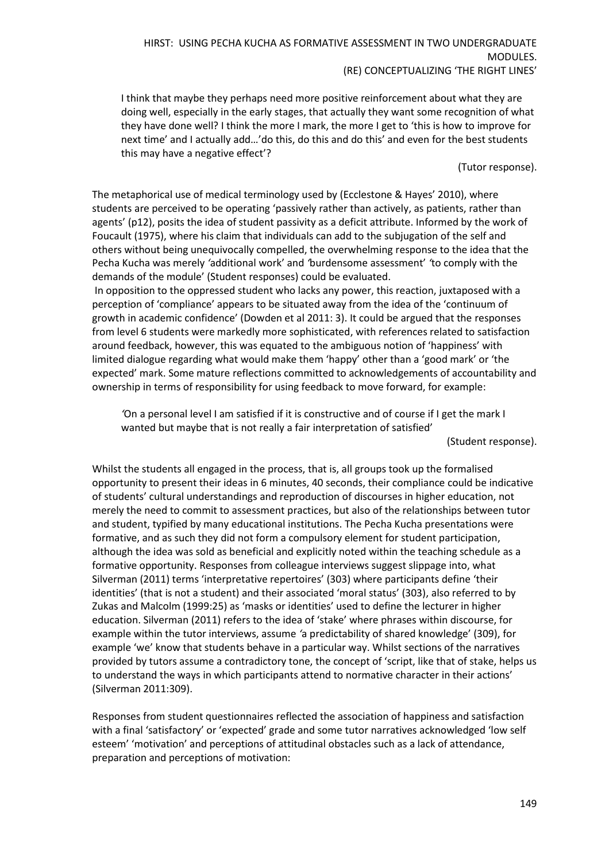I think that maybe they perhaps need more positive reinforcement about what they are doing well, especially in the early stages, that actually they want some recognition of what they have done well? I think the more I mark, the more I get to 'this is how to improve for next time' and I actually add…'do this, do this and do this' and even for the best students this may have a negative effect'?

(Tutor response).

The metaphorical use of medical terminology used by (Ecclestone & Hayes' 2010), where students are perceived to be operating 'passively rather than actively, as patients, rather than agents' (p12), posits the idea of student passivity as a deficit attribute. Informed by the work of Foucault (1975), where his claim that individuals can add to the subjugation of the self and others without being unequivocally compelled, the overwhelming response to the idea that the Pecha Kucha was merely *'*additional work' and *'*burdensome assessment' *'*to comply with the demands of the module' (Student responses) could be evaluated.

In opposition to the oppressed student who lacks any power, this reaction, juxtaposed with a perception of 'compliance' appears to be situated away from the idea of the 'continuum of growth in academic confidence' (Dowden et al 2011: 3). It could be argued that the responses from level 6 students were markedly more sophisticated, with references related to satisfaction around feedback, however, this was equated to the ambiguous notion of 'happiness' with limited dialogue regarding what would make them 'happy' other than a 'good mark' or 'the expected' mark. Some mature reflections committed to acknowledgements of accountability and ownership in terms of responsibility for using feedback to move forward, for example:

*'*On a personal level I am satisfied if it is constructive and of course if I get the mark I wanted but maybe that is not really a fair interpretation of satisfied'

(Student response).

Whilst the students all engaged in the process, that is, all groups took up the formalised opportunity to present their ideas in 6 minutes, 40 seconds, their compliance could be indicative of students' cultural understandings and reproduction of discourses in higher education, not merely the need to commit to assessment practices, but also of the relationships between tutor and student, typified by many educational institutions. The Pecha Kucha presentations were formative, and as such they did not form a compulsory element for student participation, although the idea was sold as beneficial and explicitly noted within the teaching schedule as a formative opportunity. Responses from colleague interviews suggest slippage into, what Silverman (2011) terms 'interpretative repertoires' (303) where participants define 'their identities' (that is not a student) and their associated 'moral status' (303), also referred to by Zukas and Malcolm (1999:25) as 'masks or identities' used to define the lecturer in higher education. Silverman (2011) refers to the idea of 'stake' where phrases within discourse, for example within the tutor interviews, assume *'*a predictability of shared knowledge' (309), for example 'we' know that students behave in a particular way. Whilst sections of the narratives provided by tutors assume a contradictory tone, the concept of 'script, like that of stake, helps us to understand the ways in which participants attend to normative character in their actions' (Silverman 2011:309).

Responses from student questionnaires reflected the association of happiness and satisfaction with a final 'satisfactory' or 'expected' grade and some tutor narratives acknowledged 'low self esteem' 'motivation' and perceptions of attitudinal obstacles such as a lack of attendance, preparation and perceptions of motivation: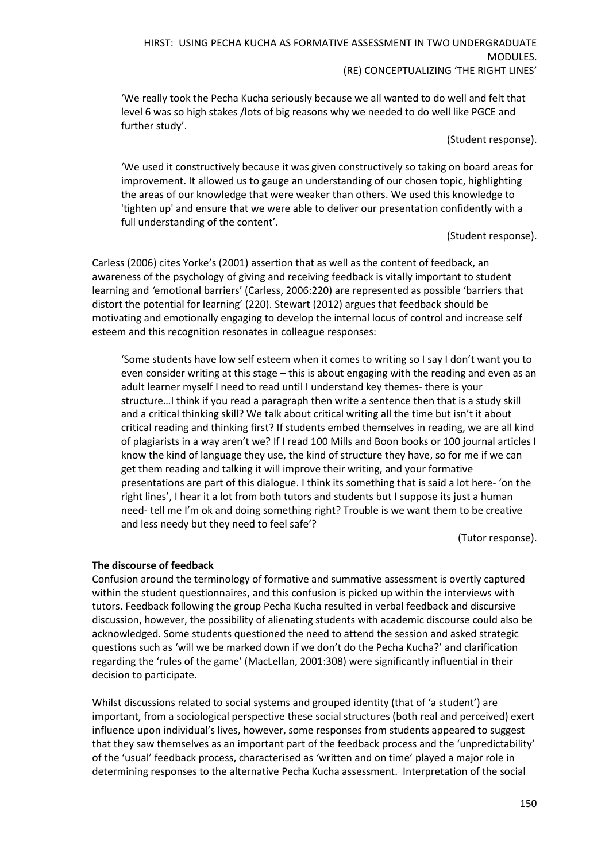'We really took the Pecha Kucha seriously because we all wanted to do well and felt that level 6 was so high stakes /lots of big reasons why we needed to do well like PGCE and further study'.

(Student response).

'We used it constructively because it was given constructively so taking on board areas for improvement. It allowed us to gauge an understanding of our chosen topic, highlighting the areas of our knowledge that were weaker than others. We used this knowledge to 'tighten up' and ensure that we were able to deliver our presentation confidently with a full understanding of the content'.

(Student response).

Carless (2006) cites Yorke's (2001) assertion that as well as the content of feedback, an awareness of the psychology of giving and receiving feedback is vitally important to student learning and *'*emotional barriers' (Carless, 2006:220) are represented as possible 'barriers that distort the potential for learning' (220). Stewart (2012) argues that feedback should be motivating and emotionally engaging to develop the internal locus of control and increase self esteem and this recognition resonates in colleague responses:

'Some students have low self esteem when it comes to writing so I say I don't want you to even consider writing at this stage – this is about engaging with the reading and even as an adult learner myself I need to read until I understand key themes- there is your structure…I think if you read a paragraph then write a sentence then that is a study skill and a critical thinking skill? We talk about critical writing all the time but isn't it about critical reading and thinking first? If students embed themselves in reading, we are all kind of plagiarists in a way aren't we? If I read 100 Mills and Boon books or 100 journal articles I know the kind of language they use, the kind of structure they have, so for me if we can get them reading and talking it will improve their writing, and your formative presentations are part of this dialogue. I think its something that is said a lot here- 'on the right lines', I hear it a lot from both tutors and students but I suppose its just a human need- tell me I'm ok and doing something right? Trouble is we want them to be creative and less needy but they need to feel safe'?

(Tutor response).

#### **The discourse of feedback**

Confusion around the terminology of formative and summative assessment is overtly captured within the student questionnaires, and this confusion is picked up within the interviews with tutors. Feedback following the group Pecha Kucha resulted in verbal feedback and discursive discussion, however, the possibility of alienating students with academic discourse could also be acknowledged. Some students questioned the need to attend the session and asked strategic questions such as 'will we be marked down if we don't do the Pecha Kucha?' and clarification regarding the 'rules of the game' (MacLellan, 2001:308) were significantly influential in their decision to participate.

Whilst discussions related to social systems and grouped identity (that of 'a student') are important, from a sociological perspective these social structures (both real and perceived) exert influence upon individual's lives, however, some responses from students appeared to suggest that they saw themselves as an important part of the feedback process and the 'unpredictability' of the 'usual' feedback process, characterised as *'*written and on time' played a major role in determining responses to the alternative Pecha Kucha assessment. Interpretation of the social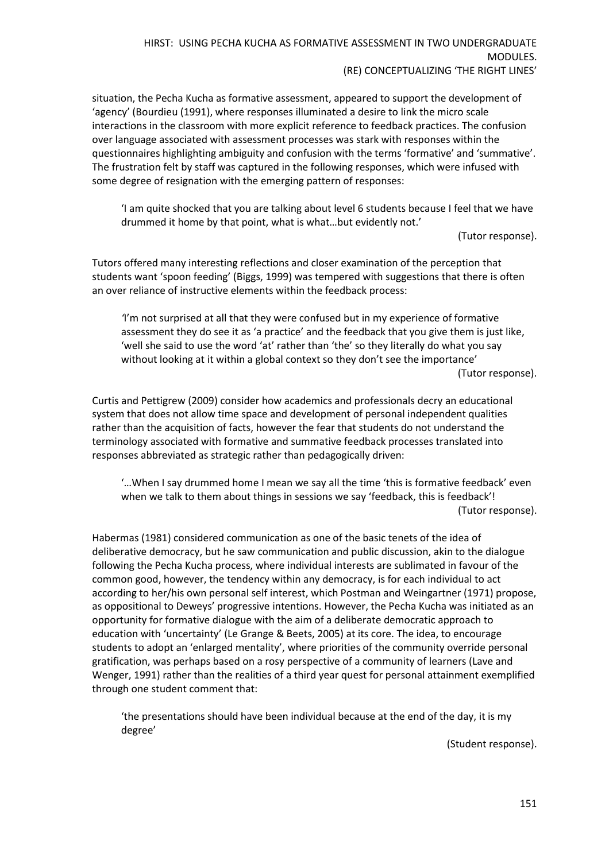situation, the Pecha Kucha as formative assessment, appeared to support the development of 'agency' (Bourdieu (1991), where responses illuminated a desire to link the micro scale interactions in the classroom with more explicit reference to feedback practices. The confusion over language associated with assessment processes was stark with responses within the questionnaires highlighting ambiguity and confusion with the terms 'formative' and 'summative'. The frustration felt by staff was captured in the following responses, which were infused with some degree of resignation with the emerging pattern of responses:

'I am quite shocked that you are talking about level 6 students because I feel that we have drummed it home by that point, what is what…but evidently not.'

(Tutor response).

Tutors offered many interesting reflections and closer examination of the perception that students want 'spoon feeding' (Biggs, 1999) was tempered with suggestions that there is often an over reliance of instructive elements within the feedback process:

*'*I'm not surprised at all that they were confused but in my experience of formative assessment they do see it as 'a practice' and the feedback that you give them is just like, 'well she said to use the word 'at' rather than 'the' so they literally do what you say without looking at it within a global context so they don't see the importance' (Tutor response).

Curtis and Pettigrew (2009) consider how academics and professionals decry an educational system that does not allow time space and development of personal independent qualities rather than the acquisition of facts, however the fear that students do not understand the terminology associated with formative and summative feedback processes translated into responses abbreviated as strategic rather than pedagogically driven:

'…When I say drummed home I mean we say all the time 'this is formative feedback' even when we talk to them about things in sessions we say 'feedback, this is feedback'! (Tutor response).

Habermas (1981) considered communication as one of the basic tenets of the idea of deliberative democracy, but he saw communication and public discussion, akin to the dialogue following the Pecha Kucha process, where individual interests are sublimated in favour of the common good, however, the tendency within any democracy, is for each individual to act according to her/his own personal self interest, which Postman and Weingartner (1971) propose, as oppositional to Deweys' progressive intentions. However, the Pecha Kucha was initiated as an opportunity for formative dialogue with the aim of a deliberate democratic approach to education with 'uncertainty' (Le Grange & Beets, 2005) at its core. The idea, to encourage students to adopt an 'enlarged mentality', where priorities of the community override personal gratification, was perhaps based on a rosy perspective of a community of learners (Lave and Wenger, 1991) rather than the realities of a third year quest for personal attainment exemplified through one student comment that:

'the presentations should have been individual because at the end of the day, it is my degree'

(Student response).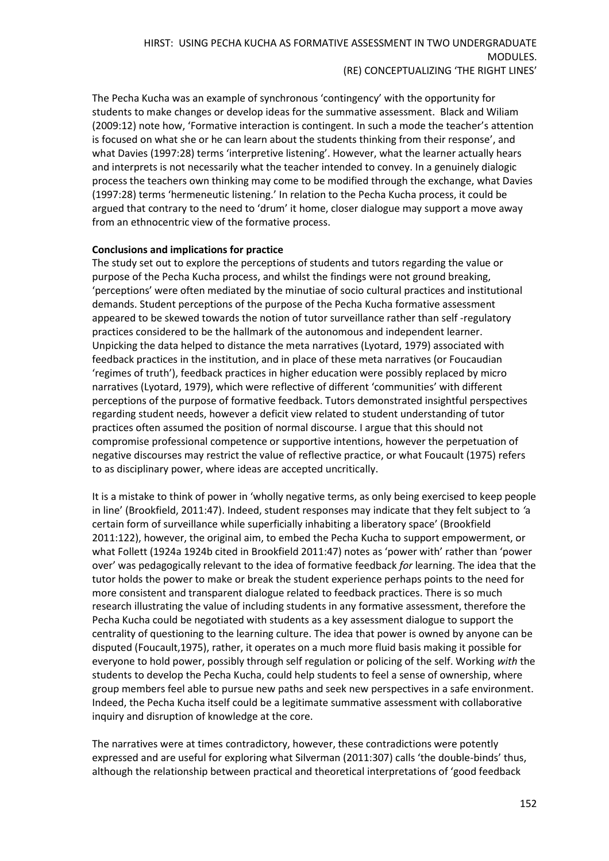The Pecha Kucha was an example of synchronous 'contingency' with the opportunity for students to make changes or develop ideas for the summative assessment. Black and Wiliam (2009:12) note how, 'Formative interaction is contingent. In such a mode the teacher's attention is focused on what she or he can learn about the students thinking from their response', and what Davies (1997:28) terms 'interpretive listening'. However, what the learner actually hears and interprets is not necessarily what the teacher intended to convey. In a genuinely dialogic process the teachers own thinking may come to be modified through the exchange, what Davies (1997:28) terms 'hermeneutic listening.' In relation to the Pecha Kucha process, it could be argued that contrary to the need to 'drum' it home, closer dialogue may support a move away from an ethnocentric view of the formative process.

#### **Conclusions and implications for practice**

The study set out to explore the perceptions of students and tutors regarding the value or purpose of the Pecha Kucha process, and whilst the findings were not ground breaking, 'perceptions' were often mediated by the minutiae of socio cultural practices and institutional demands. Student perceptions of the purpose of the Pecha Kucha formative assessment appeared to be skewed towards the notion of tutor surveillance rather than self -regulatory practices considered to be the hallmark of the autonomous and independent learner. Unpicking the data helped to distance the meta narratives (Lyotard, 1979) associated with feedback practices in the institution, and in place of these meta narratives (or Foucaudian 'regimes of truth'), feedback practices in higher education were possibly replaced by micro narratives (Lyotard, 1979), which were reflective of different 'communities' with different perceptions of the purpose of formative feedback. Tutors demonstrated insightful perspectives regarding student needs, however a deficit view related to student understanding of tutor practices often assumed the position of normal discourse. I argue that this should not compromise professional competence or supportive intentions, however the perpetuation of negative discourses may restrict the value of reflective practice, or what Foucault (1975) refers to as disciplinary power, where ideas are accepted uncritically.

It is a mistake to think of power in 'wholly negative terms, as only being exercised to keep people in line' (Brookfield, 2011:47). Indeed, student responses may indicate that they felt subject to *'*a certain form of surveillance while superficially inhabiting a liberatory space' (Brookfield 2011:122), however, the original aim, to embed the Pecha Kucha to support empowerment, or what Follett (1924a 1924b cited in Brookfield 2011:47) notes as 'power with' rather than 'power over' was pedagogically relevant to the idea of formative feedback *for* learning. The idea that the tutor holds the power to make or break the student experience perhaps points to the need for more consistent and transparent dialogue related to feedback practices. There is so much research illustrating the value of including students in any formative assessment, therefore the Pecha Kucha could be negotiated with students as a key assessment dialogue to support the centrality of questioning to the learning culture. The idea that power is owned by anyone can be disputed (Foucault,1975), rather, it operates on a much more fluid basis making it possible for everyone to hold power, possibly through self regulation or policing of the self. Working *with* the students to develop the Pecha Kucha, could help students to feel a sense of ownership, where group members feel able to pursue new paths and seek new perspectives in a safe environment. Indeed, the Pecha Kucha itself could be a legitimate summative assessment with collaborative inquiry and disruption of knowledge at the core.

The narratives were at times contradictory, however, these contradictions were potently expressed and are useful for exploring what Silverman (2011:307) calls 'the double-binds' thus, although the relationship between practical and theoretical interpretations of 'good feedback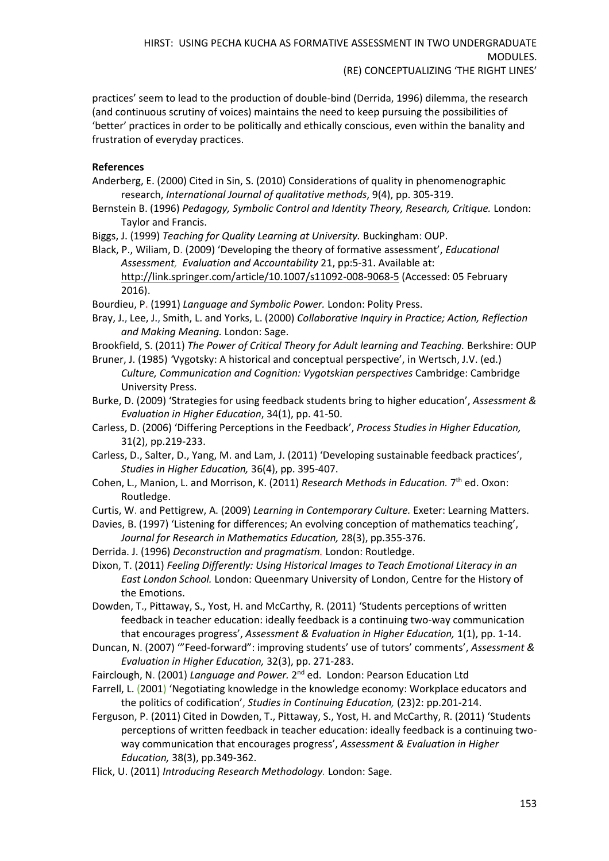practices' seem to lead to the production of double-bind (Derrida, 1996) dilemma, the research (and continuous scrutiny of voices) maintains the need to keep pursuing the possibilities of 'better' practices in order to be politically and ethically conscious, even within the banality and frustration of everyday practices.

# **References**

- Anderberg, E. (2000) Cited in Sin, S. (2010) Considerations of quality in phenomenographic research, *International Journal of qualitative methods*, 9(4), pp. 305-319.
- Bernstein B. (1996) *Pedagogy, Symbolic Control and Identity Theory, Research, Critique.* London: Taylor and Francis.
- Biggs, J. (1999) *Teaching for Quality Learning at University.* Buckingham: OUP.
- Black, P., Wiliam, D. (2009) 'Developing the theory of formative assessment', *Educational Assessment, Evaluation and Accountability* 21, pp:5-31. Available at: [http://link.springer.com/article/10.1007/s11092-008-9068-5](https://excasowa.ljmu.ac.uk/owa/redir.aspx?SURL=QN-NXZXt9Bt5ar_953d88sGMXWYlmXxqMMawY0QPSL2Mkn2X32LTCGgAdAB0AHAAOgAvAC8AbABpAG4AawAuAHMAcAByAGkAbgBnAGUAcgAuAGMAbwBtAC8AYQByAHQAaQBjAGwAZQAvADEAMAAuADEAMAAwADcALwBzADEAMQAwADkAMgAtADAAMAA4AC0AOQAwADYAOAAtADUA&URL=http%3a%2f%2flink.springer.com%2farticle%2f10.1007%2fs11092-008-9068-5) (Accessed: 05 February 2016).

Bourdieu, P. (1991) *Language and Symbolic Power.* London: Polity Press.

Bray, J., Lee, J., Smith, L. and Yorks, L. (2000) *Collaborative Inquiry in Practice; Action, Reflection and Making Meaning.* London: Sage.

Brookfield, S. (2011) *The Power of Critical Theory for Adult learning and Teaching.* Berkshire: OUP Bruner, J. (1985) *'*Vygotsky: A historical and conceptual perspective', in Wertsch, J.V. (ed.)

*Culture, Communication and Cognition: Vygotskian perspectives* Cambridge: Cambridge University Press.

- Burke, D. (2009) 'Strategies for using feedback students bring to higher education', *Assessment & Evaluation in Higher Education*, 34(1), pp. 41-50.
- Carless, D. (2006) 'Differing Perceptions in the Feedback', *Process Studies in Higher Education,*  31(2), pp.219-233.
- Carless, D., Salter, D., Yang, M. and Lam, J. (2011) 'Developing sustainable feedback practices', *Studies in Higher Education,* 36(4), pp. 395-407.
- Cohen, L., Manion, L. and Morrison, K. (2011) *Research Methods in Education.* 7<sup>th</sup> ed. Oxon: Routledge.

Curtis, W. and Pettigrew, A. (2009) *Learning in Contemporary Culture.* Exeter: Learning Matters.

- Davies, B. (1997) 'Listening for differences; An evolving conception of mathematics teaching', *Journal for Research in Mathematics Education,* 28(3), pp.355-376.
- Derrida. J. (1996) *Deconstruction and pragmatism.* London: Routledge.
- Dixon, T. (2011) *Feeling Differently: Using Historical Images to Teach Emotional Literacy in an East London School.* London: Queenmary University of London, Centre for the History of the Emotions.

Dowden, T., Pittaway, S., Yost, H. and McCarthy, R. (2011) 'Students perceptions of written feedback in teacher education: ideally feedback is a continuing two-way communication that encourages progress', *Assessment & Evaluation in Higher Education,* 1(1), pp. 1-14.

Duncan, N. (2007) '"Feed-forward": improving students' use of tutors' comments', *Assessment & Evaluation in Higher Education,* 32(3), pp. 271-283.

Fairclough, N. (2001) Language and Power. 2<sup>nd</sup> ed. London: Pearson Education Ltd

Farrell, L. (2001) 'Negotiating knowledge in the knowledge economy: Workplace educators and the politics of codification', *Studies in Continuing Education,* (23)2: pp.201-214.

- Ferguson, P. (2011) Cited in Dowden, T., Pittaway, S., Yost, H. and McCarthy, R. (2011) 'Students perceptions of written feedback in teacher education: ideally feedback is a continuing twoway communication that encourages progress', *Assessment & Evaluation in Higher Education,* 38(3), pp.349-362.
- Flick, U. (2011) *Introducing Research Methodology.* London: Sage.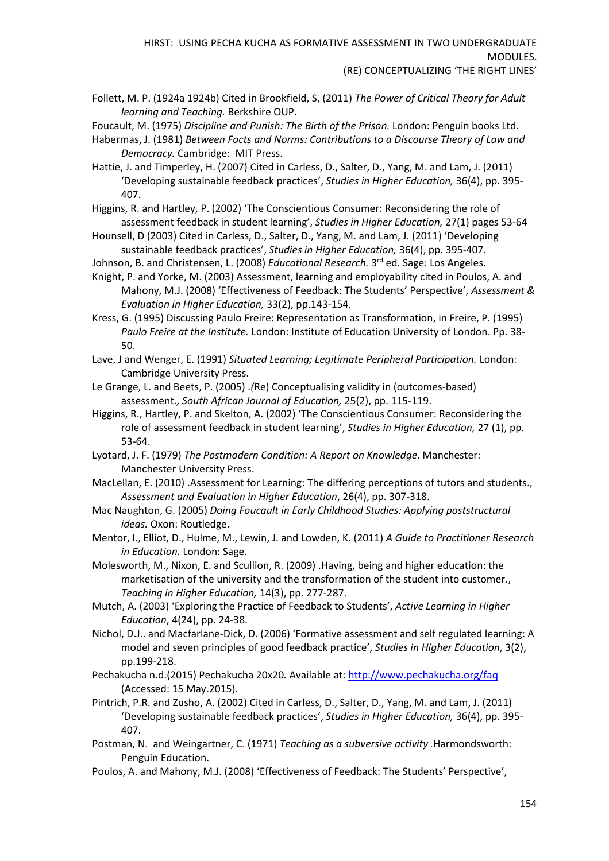Follett, M. P. (1924a 1924b) Cited in Brookfield, S, (2011) *The Power of Critical Theory for Adult learning and Teaching.* Berkshire OUP.

Foucault, M. (1975) *Discipline and Punish: The Birth of the Prison.* London: Penguin books Ltd.

- Habermas, J. (1981) *Between Facts and Norms: Contributions to a Discourse Theory of Law and Democracy.* Cambridge: MIT Press.
- Hattie, J. and Timperley, H. (2007) Cited in Carless, D., Salter, D., Yang, M. and Lam, J. (2011) 'Developing sustainable feedback practices', *Studies in Higher Education,* 36(4), pp. 395- 407.
- Higgins, R. and Hartley, P. (2002) 'The Conscientious Consumer: Reconsidering the role of assessment feedback in student learning', *Studies in Higher Education,* 27(1) pages 53-64
- Hounsell, D (2003) Cited in Carless, D., Salter, D., Yang, M. and Lam, J. (2011) 'Developing sustainable feedback practices', *Studies in Higher Education,* 36(4), pp. 395-407.
- Johnson, B. and Christensen, L. (2008) *Educational Research.* 3<sup>rd</sup> ed. Sage: Los Angeles.
- Knight, P. and Yorke, M. (2003) Assessment, learning and employability cited in Poulos, A. and Mahony, M.J. (2008) 'Effectiveness of Feedback: The Students' Perspective', *Assessment & Evaluation in Higher Education,* 33(2), pp.143-154.

Kress, G. (1995) Discussing Paulo Freire: Representation as Transformation, in Freire, P. (1995) *Paulo Freire at the Institute.* London: Institute of Education University of London. Pp. 38- 50.

- Lave, J and Wenger, E. (1991) *Situated Learning; Legitimate Peripheral Participation.* London: Cambridge University Press.
- Le Grange, L. and Beets, P. (2005) .*(*Re) Conceptualising validity in (outcomes-based) assessment.*, South African Journal of Education,* 25(2), pp. 115-119.
- Higgins, R., Hartley, P. and Skelton, A. (2002) 'The Conscientious Consumer: Reconsidering the role of assessment feedback in student learning', *Studies in Higher Education,* 27 (1), pp. 53-64.
- Lyotard, J. F. (1979) *The Postmodern Condition: A Report on Knowledge.* Manchester: Manchester University Press.
- MacLellan, E. (2010) .Assessment for Learning: The differing perceptions of tutors and students., *Assessment and Evaluation in Higher Education*, 26(4), pp. 307-318.
- Mac Naughton, G. (2005) *Doing Foucault in Early Childhood Studies: Applying poststructural ideas.* Oxon: Routledge.
- Mentor, I., Elliot, D., Hulme, M., Lewin, J. and Lowden, K. (2011) *A Guide to Practitioner Research in Education.* London: Sage.
- Molesworth, M., Nixon, E. and Scullion, R. (2009) .Having, being and higher education: the marketisation of the university and the transformation of the student into customer., *Teaching in Higher Education,* 14(3), pp. 277-287.
- Mutch, A. (2003) 'Exploring the Practice of Feedback to Students', *Active Learning in Higher Education*, 4(24), pp. 24-38.
- Nichol, D.J.. and Macfarlane-Dick, D. (2006) 'Formative assessment and self regulated learning: A model and seven principles of good feedback practice', *Studies in Higher Education*, 3(2), pp.199-218.
- Pechakucha n.d.(2015) Pechakucha 20x20*.* Available at: [http://www.pechakucha.org/faq](https://excasowa.ljmu.ac.uk/owa/redir.aspx?SURL=93tnTdDJmVi-KMIZSqheoTAzTJnWam_vbWcjiN4YOICMkn2X32LTCGgAdAB0AHAAcwA6AC8ALwBlAHgAYwBhAHMAbwB3AGEALgBsAGoAbQB1AC4AYQBjAC4AdQBrAC8AbwB3AGEALwByAGUAZABpAHIALgBhAHMAcAB4AD8AQwA9ADcAVgBnAC0AZABaAGUAcABmAEUASwAwAF8AQwBzAHgAUwBsAEMAcABSAEwAdwB5AEEATwBwAFQAZABkAEkASQBDAFgARgBMAGEARQBjADcAQQB0AEwAZgBwADYAWgA3AHcATABGAEMAZwAzAFgASwBBADcAMwBxADQATgA4AG0ARgBnAGcAZwBFAFIASABPAFcATgBJAC4AJgBVAFIATAA9AGgAdAB0AHAAJQAzAGEAJQAyAGYAJQAyAGYAdwB3AHcALgBwAGUAYwBoAGEAawB1AGMAaABhAC4AbwByAGcAJQAyAGYAZgBhAHEA&URL=https%3a%2f%2fexcasowa.ljmu.ac.uk%2fowa%2fredir.aspx%3fC%3d7Vg-dZepfEK0_CsxSlCpRLwyAOpTddIICXFLaEc7AtLfp6Z7wLFCg3XKA73q4N8mFgggERHOWNI.%26URL%3dhttp%253a%252f%252fwww.pechakucha.org%252ffaq) (Accessed: 15 May.2015).
- Pintrich, P.R. and Zusho, A. (2002) Cited in Carless, D., Salter, D., Yang, M. and Lam, J. (2011) 'Developing sustainable feedback practices', *Studies in Higher Education,* 36(4), pp. 395- 407.
- Postman, N. and Weingartner, C. (1971) *Teaching as a subversive activity .*Harmondsworth: Penguin Education.
- Poulos, A. and Mahony, M.J. (2008) 'Effectiveness of Feedback: The Students' Perspective',